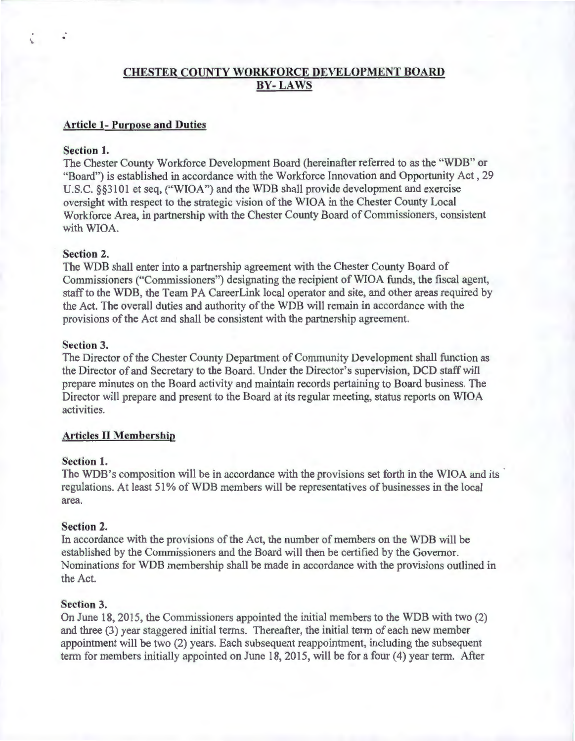# **CHESTER COUNTY WORKFORCE DEVELOPMENT BOARD BY- LAWS**

# **Article 1- Purpose and Duties**

# **Section 1.**

·.

The Chester County Workforce Development Board (hereinafter referred to as the "WDB" or "Board") is established in accordance with the Workforce Innovation and Opportunity Act , 29 U.S.C. §§3101 et seq, ("WIOA") and the WDB shall provide development and exercise oversight with respect to the strategic vision of the WIOA in the Chester County Local Workforce Area, in partnership with the Chester County Board of Commissioners, consistent with WIOA.

# **Section 2.**

The WDB shall enter into a partnership agreement with the Chester County Board of Commissioners ("Commissioners") designating the recipient of WIOA funds, the fiscal agent, staff to the WDB, the Team PA Career Link local operator and site, and other areas required by the Act. The overall duties and authority of the WDB will remain in accordance with the provisions of the Act and shall be consistent with the partnership agreement.

### **Section 3.**

The Director of the Chester County Department of Community Development shall function as the Director of and Secretary to the Board. Under the Director's supervision, DCD staffwill prepare minutes on the Board activity and maintain records pertaining to Board business. The Director will prepare and present to the Board at its regular meeting, status reports on WIOA activities.

### **Articles II Membership**

# **Section 1.**

The WDB's composition will be in accordance with the provisions set forth in the WIOA and its regulations. At least 51% of WDB members will be representatives of businesses in the local area.

### **Section 2.**

In accordance with the provisions of the Act, the number of members on the WDB will be established by the Commissioners and the Board will then be certified by the Governor. Nominations for WDB membership shall be made in accordance with the provisions outlined in the Act.

### **Section 3.**

On June 18, 2015, the Commissioners appointed the initial members to the WDB with two (2) and three (3) year staggered initial terms. Thereafter, the initial term of each new member appointment will be two (2) years. Each subsequent reappointment, including the subsequent term for members initially appointed on June 18, 20 15, will be for a four (4) year term. After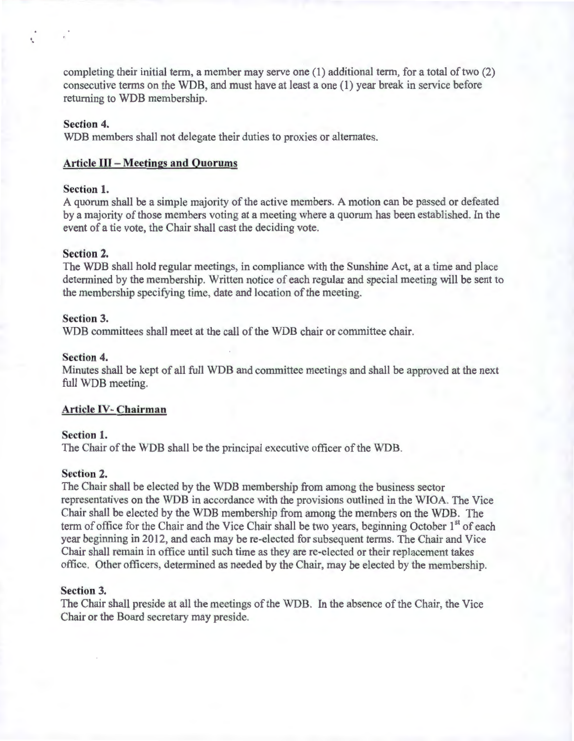completing their initial term, a member may serve one (1) additional term, for a total of two (2) consecutive terms on the WDB, and must have at least a one (1) year break in service before returning to WDB membership.

### **Section 4.**

WDB members shall not delegate their duties to proxies or alternates.

### **Article III -Meetings and Quorums**

### **Section 1.**

A quorum shall be a simple majority of the active members. A motion can be passed or defeated by a majority of those members voting at a meeting where a quorum has been established. In the event of a tie vote, the Chair shall cast the deciding vote.

### **Section 2.**

The WDB shall hold regular meetings, in compliance with the Sunshine Act, at a time and place determined by the membership. Written notice of each regular and special meeting will be sent to the membership specifying time, date and location of the meeting.

### **Section 3.**

WDB committees shall meet at the call of the WDB chair or committee chair.

#### **Section 4.**

Minutes shall be kept of all full WDB and committee meetings and shall be approved at the next full WDB meeting.

#### **Article** IV- **Chairman**

#### **Section 1.**

The Chair of the WDB shall be the principal executive officer of the WDB.

# **Section 2.**

The Chair shall be elected by the WDB membership from among the business sector representatives on the WDB in accordance with the provisions outlined in the WIOA. The Vice Chair shall be elected by the WDB membership from among the members on the WDB. The term of office for the Chair and the Vice Chair shall be two years, beginning October 1<sup>st</sup> of each year beginning in 2012, and each may be re-elected for subsequent terms. The Chair and Vice Chair shall remain in office until such time as they are re-elected or their replacement takes office. Other officers, determined as needed by the Chair, may be elected by the membership.

### **Section 3.**

The Chair shall preside at all the meetings of the WDB. In the absence of the Chair, the Vice Chair or the Board secretary may preside.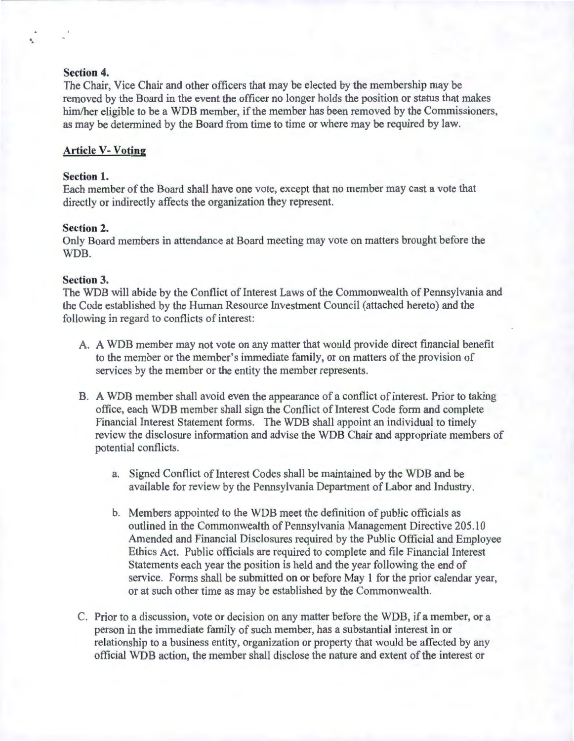# **Section 4.**

·.

The Chair, Vice Chair and other officers that may be elected by the membership may be removed by the Board in the event the officer no longer holds the position or status that makes him/her eligible to be a WDB member, if the member has been removed by the Commissioners, as may be determined by the Board from time to time or where may be required by law.

### **Article V- Voting**

#### **Section 1.**

Each member of the Board shall have one vote, except that no member may cast a vote that directly or indirectly affects the organization they represent.

# **Section 2.**

Only Board members in attendance at Board meeting may vote on matters brought before the WDB.

#### **Section 3.**

The WDB will abide by the Conflict of Interest Laws of the Commonwealth of Pennsylvania and the Code established by the Human Resource Investment Council (attached hereto) and the following in regard to conflicts of interest:

- A. A WDB member may not vote on any matter that would provide direct financial benefit to the member or the member's immediate family, or on matters of the provision of services by the member or the entity the member represents.
- B. A WDB member shall avoid even the appearance of a conflict of interest. Prior to taking office, each WDB member shall sign the Conflict of Interest Code form and complete Financial Interest Statement forms. The WDB shall appoint an individual to timely review the disclosure information and advise the WDB Chair and appropriate members of potential conflicts.
	- a. Signed Conflict of Interest Codes shall be maintained by the WDB and be available for review by the Pennsylvania Department of Labor and Industry.
	- b. Members appointed to the WDB meet the definition of public officials as outlined in the Commonwealth of Pennsylvania Management Directive 205.10 Amended and Financial Disclosures required by the Public Official and Employee Ethics Act. Public officials are required to complete and file Financial Interest Statements each year the position is held and the year following the end of service. Forms shall be submitted on or before May 1 for the prior calendar year, or at such other time as may be established by the Commonwealth.
- C. Prior to a discussion, vote or decision on any matter before the WDB, if a member, or a person in the immediate family of such member, has a substantial interest in or relationship to a business entity, organization or property that would be affected by any official WDB action, the member shall disclose the nature and extent of the interest or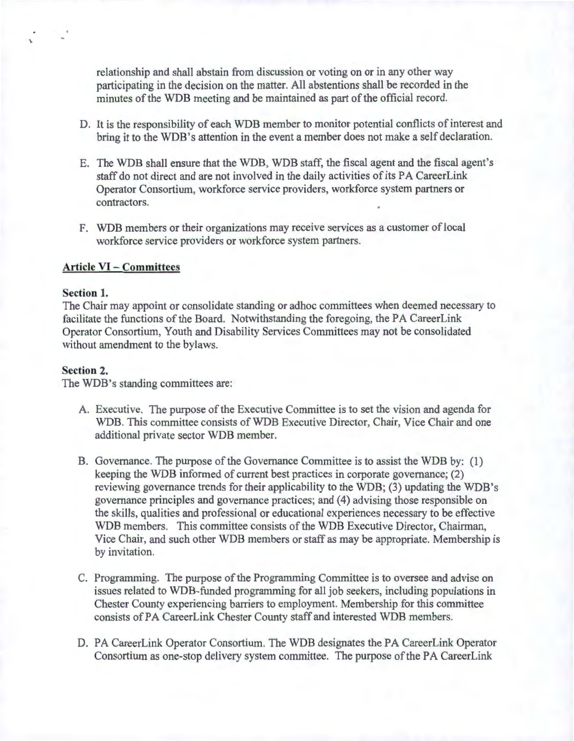relationship and shall abstain from discussion or voting on or in any other way participating in the decision on the matter. All abstentions shall be recorded in the minutes of the WDB meeting and be maintained as part of the official record.

- D. It is the responsibility of each WDB member to monitor potential conflicts of interest and bring it to the WDB's attention in the event a member does not make a self declaration.
- E. The WDB shall ensure that the WDB, WDB staff, the fiscal agent and the fiscal agent's staff do not direct and are not involved in the daily activities of its PA CareerLink Operator Consortium, workforce service providers, workforce system partners or contractors.
- F. WDB members or their organizations may receive services as a customer of local workforce service providers or workforce system partners.

### **Article VI - Committees**

### **Section 1.**

'·

The Chair may appoint or consolidate standing or adhoc committees when deemed necessary to facilitate the functions of the Board. Notwithstanding the foregoing, the PA Career Link Operator Consortium, Youth and Disability Services Committees may not be consolidated without amendment to the bylaws.

#### **Section 2.**

The WDB's standing committees are:

- A. Executive. The purpose of the Executive Committee is to set the vision and agenda for WDB. This committee consists of WDB Executive Director, Chair, Vice Chair and one additional private sector WDB member.
- B. Governance. The purpose of the Governance Committee is to assist the WDB by: (1) keeping the WDB informed of current best practices in corporate governance; (2) reviewing governance trends for their applicability to the WDB; (3) updating the WDB's governance principles and governance practices; and (4) advising those responsible on the skills, qualities and professional or educational experiences necessary to be effective WDB members. This committee consists of the WDB Executive Director, Chairman, Vice Chair, and such other WDB members or staff as may be appropriate. Membership is by invitation.
- C. Programming. The purpose of the Programming Committee is to oversee and advise on issues related to WDB-funded programming for all job seekers, including populations in Chester County experiencing barriers to employment. Membership for this committee consists of PA CareerLink Chester County staff and interested WDB members.
- D. PA CareerLink Operator Consortium. The WDB designates the PA CareerLink Operator Consortium as one-stop delivery system committee. The purpose of the PA CareerLink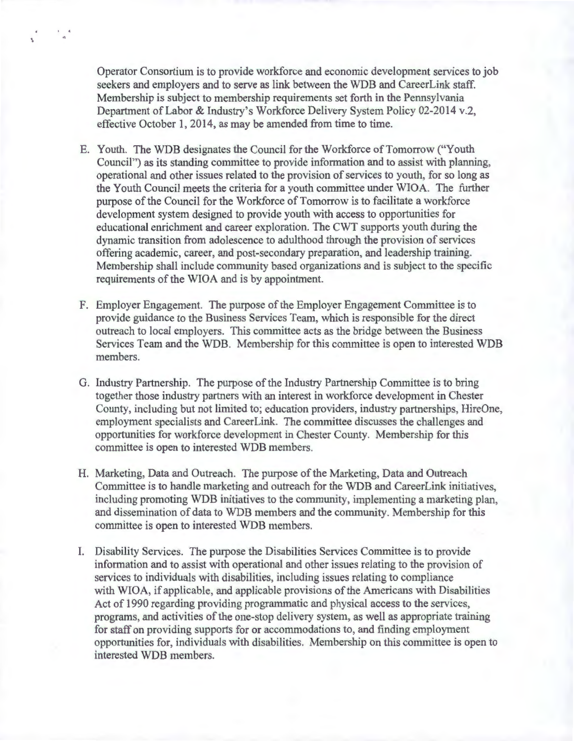Operator Consortium is to provide workforce and economic development services to job seekers and employers and to serve as link between the WDB and CareerLink staff. Membership is subject to membership requirements set forth in the Pennsylvania Department of Labor & Industry's Workforce Delivery System Policy 02-2014 v.2, effective October 1, 2014, as may be amended from time to time.

\

- E. Youth. The WDB designates the Council for the Workforce of Tomorrow(' Youth Council") as its standing committee to provide information and to assist with planning, operational and other issues related to the provision of services to youth, for so long as the Youth Council meets the criteria for a youth committee under WIOA. The further purpose of the Council for the Workforce of Tomorrow is to facilitate a workforce development system designed to provide youth with access to opportunities for educational enrichment and career exploration. The CWT supports youth during the dynamic transition from adolescence to adulthood through the provision of services offering academic, career, and post-secondary preparation, and leadership training. Membership shall include community based organizations and is subject to the specific requirements of the WIOA and is by appointment.
- F. Employer Engagement. The purpose of the Employer Engagement Committee is to provide guidance to the Business Services Team, which is responsible for the direct outreach to local employers. This committee acts as the bridge between the Business Services Team and the WDB. Membership for this committee is open to interested WDB members.
- G. Industry Partnership. The purpose of the Industry Partnership Committee is to bring together those industry partners with an interest in workforce development in Chester County, including but not limited to; education providers, industry partnerships, HireOne, employment specialists and CareerLink. The committee discusses the challenges and opportunities for workforce development in Chester County. Membership for this committee is open to interested WDB members.
- H. Marketing, Data and Outreach. The purpose of the Marketing, Data and Outreach Committee is to handle marketing and outreach for the WDB and CareerLink initiatives, including promoting WDB initiatives to the community, implementing a marketing plan, and dissemination of data to WDB members and the community. Membership for this committee is open to interested WDB members.
- I. Disability Services. The purpose the Disabilities Services Committee is to provide information and to assist with operational and other issues relating to the provision of services to individuals with disabilities, including issues relating to compliance with WIOA, if applicable, and applicable provisions of the Americans with Disabilities Act of 1990 regarding providing programmatic and physical access to the services, programs, and activities of the one-stop delivery system, as well as appropriate training for staff on providing supports for or accommodations to, and finding employment opportunities for, individuals with disabilities. Membership on this committee is open to interested WDB members.